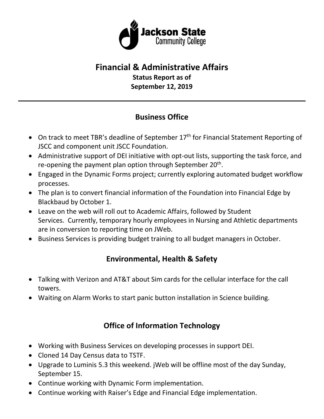

# **Financial & Administrative Affairs**

**Status Report as of September 12, 2019**

## **Business Office**

- On track to meet TBR's deadline of September 17<sup>th</sup> for Financial Statement Reporting of JSCC and component unit JSCC Foundation.
- Administrative support of DEI initiative with opt-out lists, supporting the task force, and re-opening the payment plan option through September  $20<sup>th</sup>$ .
- Engaged in the Dynamic Forms project; currently exploring automated budget workflow processes.
- The plan is to convert financial information of the Foundation into Financial Edge by Blackbaud by October 1.
- Leave on the web will roll out to Academic Affairs, followed by Student Services. Currently, temporary hourly employees in Nursing and Athletic departments are in conversion to reporting time on JWeb.
- Business Services is providing budget training to all budget managers in October.

# **Environmental, Health & Safety**

- Talking with Verizon and AT&T about Sim cards for the cellular interface for the call towers.
- Waiting on Alarm Works to start panic button installation in Science building.

### **Office of Information Technology**

- Working with Business Services on developing processes in support DEI.
- Cloned 14 Day Census data to TSTF.
- Upgrade to Luminis 5.3 this weekend. jWeb will be offline most of the day Sunday, September 15.
- Continue working with Dynamic Form implementation.
- Continue working with Raiser's Edge and Financial Edge implementation.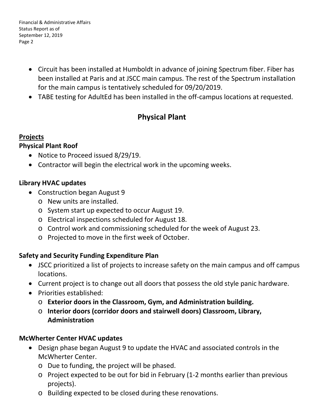Financial & Administrative Affairs Status Report as of September 12, 2019 Page 2

- Circuit has been installed at Humboldt in advance of joining Spectrum fiber. Fiber has been installed at Paris and at JSCC main campus. The rest of the Spectrum installation for the main campus is tentatively scheduled for 09/20/2019.
- TABE testing for AdultEd has been installed in the off-campus locations at requested.

### **Physical Plant**

#### **Projects**

#### **Physical Plant Roof**

- Notice to Proceed issued 8/29/19.
- Contractor will begin the electrical work in the upcoming weeks.

#### **Library HVAC updates**

- Construction began August 9
	- o New units are installed.
	- o System start up expected to occur August 19.
	- o Electrical inspections scheduled for August 18.
	- o Control work and commissioning scheduled for the week of August 23.
	- o Projected to move in the first week of October.

#### **Safety and Security Funding Expenditure Plan**

- JSCC prioritized a list of projects to increase safety on the main campus and off campus locations.
- Current project is to change out all doors that possess the old style panic hardware.
- Priorities established:
	- o **Exterior doors in the Classroom, Gym, and Administration building.**
	- o **Interior doors (corridor doors and stairwell doors) Classroom, Library, Administration**

### **McWherter Center HVAC updates**

- Design phase began August 9 to update the HVAC and associated controls in the McWherter Center.
	- o Due to funding, the project will be phased.
	- o Project expected to be out for bid in February (1-2 months earlier than previous projects).
	- o Building expected to be closed during these renovations.